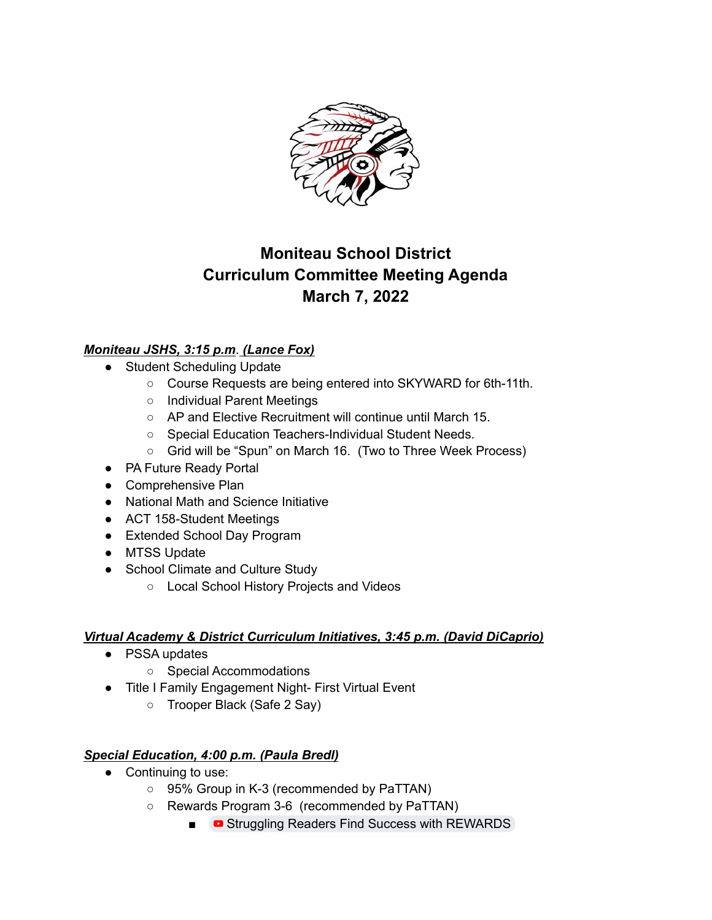

# **Moniteau School District Curriculum Committee Meeting Agenda March 7, 2022**

## *Moniteau JSHS, 3:15 p.m*. *(Lance Fox)*

- Student Scheduling Update
	- Course Requests are being entered into SKYWARD for 6th-11th.
	- Individual Parent Meetings
	- AP and Elective Recruitment will continue until March 15.
	- Special Education Teachers-Individual Student Needs.
	- Grid will be "Spun" on March 16. (Two to Three Week Process)
- PA Future Ready Portal
- Comprehensive Plan
- National Math and Science Initiative
- ACT 158-Student Meetings
- Extended School Day Program
- MTSS Update
- School Climate and Culture Study
	- Local School History Projects and Videos

### *Virtual Academy & District Curriculum Initiatives, 3:45 p.m. (David DiCaprio)*

- PSSA updates
	- Special Accommodations
- Title I Family Engagement Night- First Virtual Event
	- Trooper Black (Safe 2 Say)

### *Special Education, 4:00 p.m. (Paula Bredl)*

- Continuing to use:
	- 95% Group in K-3 (recommended by PaTTAN)
	- Rewards Program 3-6 (recommended by PaTTAN)
		- Struggling Readers Find Success with [REWARDS](https://www.youtube.com/watch?v=aKmumgVMrcA)